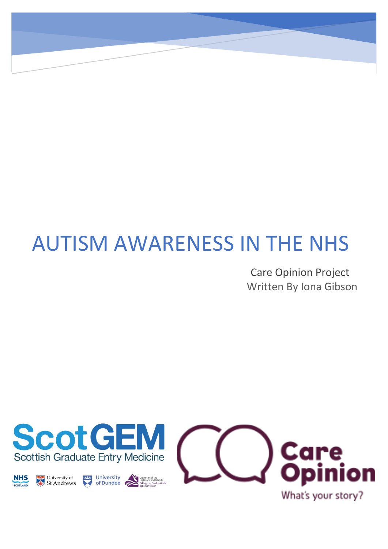# AUTISM AWARENESS IN THE NHS

Care Opinion Project Written By Iona Gibson

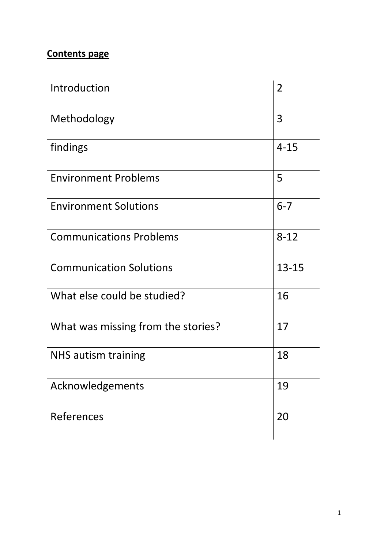# **Contents page**

| Introduction                       | $\overline{2}$ |
|------------------------------------|----------------|
| Methodology                        | 3              |
| findings                           | $4 - 15$       |
| <b>Environment Problems</b>        | 5              |
| <b>Environment Solutions</b>       | $6 - 7$        |
| <b>Communications Problems</b>     | $8 - 12$       |
| <b>Communication Solutions</b>     | $13 - 15$      |
| What else could be studied?        | 16             |
| What was missing from the stories? | 17             |
| <b>NHS autism training</b>         | 18             |
| Acknowledgements                   | 19             |
| References                         | 20             |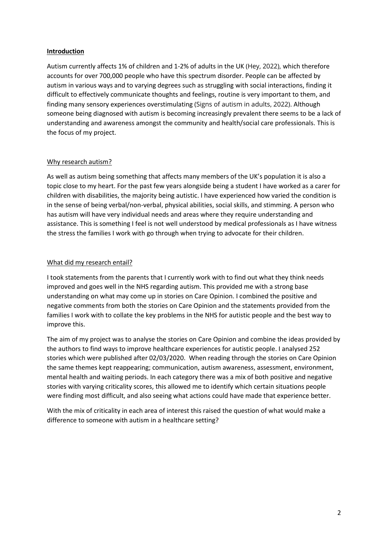#### **Introduction**

Autism currently affects 1% of children and 1-2% of adults in the UK (Hey, 2022), which therefore accounts for over 700,000 people who have this spectrum disorder. People can be affected by autism in various ways and to varying degrees such as struggling with social interactions, finding it difficult to effectively communicate thoughts and feelings, routine is very important to them, and finding many sensory experiences overstimulating (Signs of autism in adults, 2022). Although someone being diagnosed with autism is becoming increasingly prevalent there seems to be a lack of understanding and awareness amongst the community and health/social care professionals. This is the focus of my project.

# Why research autism?

As well as autism being something that affects many members of the UK's population it is also a topic close to my heart. For the past few years alongside being a student I have worked as a carer for children with disabilities, the majority being autistic. I have experienced how varied the condition is in the sense of being verbal/non-verbal, physical abilities, social skills, and stimming. A person who has autism will have very individual needs and areas where they require understanding and assistance. This is something I feel is not well understood by medical professionals as I have witness the stress the families I work with go through when trying to advocate for their children.

# What did my research entail?

I took statements from the parents that I currently work with to find out what they think needs improved and goes well in the NHS regarding autism. This provided me with a strong base understanding on what may come up in stories on Care Opinion. I combined the positive and negative comments from both the stories on Care Opinion and the statements provided from the families I work with to collate the key problems in the NHS for autistic people and the best way to improve this.

The aim of my project was to analyse the stories on Care Opinion and combine the ideas provided by the authors to find ways to improve healthcare experiences for autistic people. I analysed 252 stories which were published after 02/03/2020. When reading through the stories on Care Opinion the same themes kept reappearing; communication, autism awareness, assessment, environment, mental health and waiting periods. In each category there was a mix of both positive and negative stories with varying criticality scores, this allowed me to identify which certain situations people were finding most difficult, and also seeing what actions could have made that experience better.

With the mix of criticality in each area of interest this raised the question of what would make a difference to someone with autism in a healthcare setting?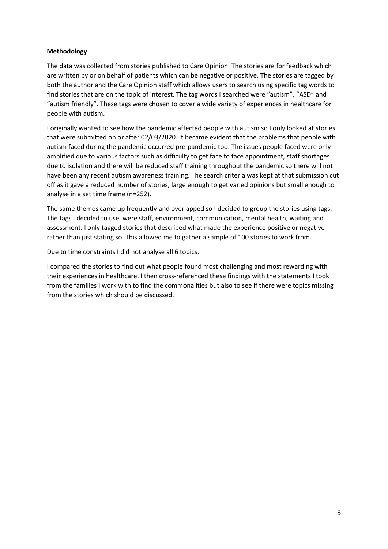# **Methodology**

The data was collected from stories published to Care Opinion. The stories are for feedback which are written by or on behalf of patients which can be negative or positive. The stories are tagged by both the author and the Care Opinion staff which allows users to search using specific tag words to find stories that are on the topic of interest. The tag words I searched were "autism", "ASD" and "autism friendly". These tags were chosen to cover a wide variety of experiences in healthcare for people with autism.

I originally wanted to see how the pandemic affected people with autism so I only looked at stories that were submitted on or after 02/03/2020. It became evident that the problems that people with autism faced during the pandemic occurred pre-pandemic too. The issues people faced were only amplified due to various factors such as difficulty to get face to face appointment, staff shortages due to isolation and there will be reduced staff training throughout the pandemic so there will not have been any recent autism awareness training. The search criteria was kept at that submission cut off as it gave a reduced number of stories, large enough to get varied opinions but small enough to analyse in a set time frame (n=252).

The same themes came up frequently and overlapped so I decided to group the stories using tags. The tags I decided to use, were staff, environment, communication, mental health, waiting and assessment. I only tagged stories that described what made the experience positive or negative rather than just stating so. This allowed me to gather a sample of 100 stories to work from.

Due to time constraints I did not analyse all 6 topics.

I compared the stories to find out what people found most challenging and most rewarding with their experiences in healthcare. I then cross-referenced these findings with the statements I took from the families I work with to find the commonalities but also to see if there were topics missing from the stories which should be discussed.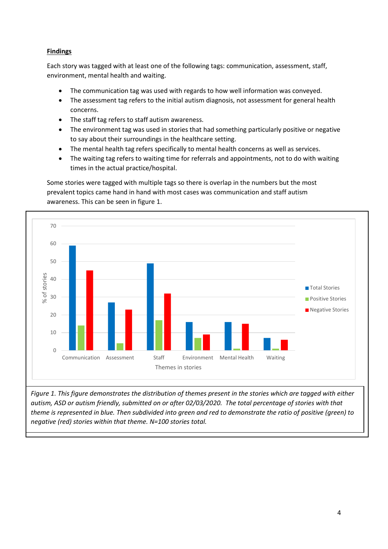# **Findings**

Each story was tagged with at least one of the following tags: communication, assessment, staff, environment, mental health and waiting.

- The communication tag was used with regards to how well information was conveyed.
- The assessment tag refers to the initial autism diagnosis, not assessment for general health concerns.
- The staff tag refers to staff autism awareness.
- The environment tag was used in stories that had something particularly positive or negative to say about their surroundings in the healthcare setting.
- The mental health tag refers specifically to mental health concerns as well as services.
- The waiting tag refers to waiting time for referrals and appointments, not to do with waiting times in the actual practice/hospital.

Some stories were tagged with multiple tags so there is overlap in the numbers but the most prevalent topics came hand in hand with most cases was communication and staff autism awareness. This can be seen in figure 1.



*Figure 1. This figure demonstrates the distribution of themes present in the stories which are tagged with either autism, ASD or autism friendly, submitted on or after 02/03/2020. The total percentage of stories with that theme is represented in blue. Then subdivided into green and red to demonstrate the ratio of positive (green) to negative (red) stories within that theme. N=100 stories total.*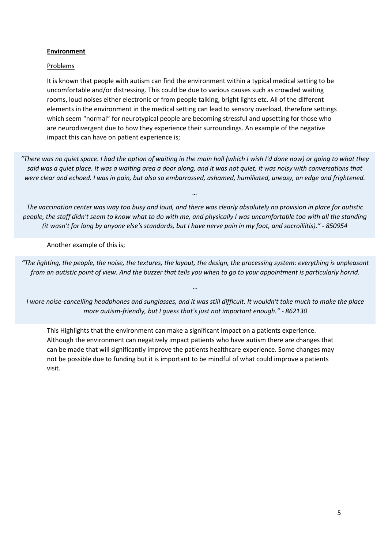#### **Environment**

#### **Problems**

It is known that people with autism can find the environment within a typical medical setting to be uncomfortable and/or distressing. This could be due to various causes such as crowded waiting rooms, loud noises either electronic or from people talking, bright lights etc. All of the different elements in the environment in the medical setting can lead to sensory overload, therefore settings which seem "normal" for neurotypical people are becoming stressful and upsetting for those who are neurodivergent due to how they experience their surroundings. An example of the negative impact this can have on patient experience is;

*"There was no quiet space. I had the option of waiting in the main hall (which I wish I'd done now) or going to what they said was a quiet place. It was a waiting area a door along, and it was not quiet, it was noisy with conversations that were clear and echoed. I was in pain, but also so embarrassed, ashamed, humiliated, uneasy, on edge and frightened.*

*The vaccination center was way too busy and loud, and there was clearly absolutely no provision in place for autistic people, the staff didn't seem to know what to do with me, and physically I was uncomfortable too with all the standing (it wasn't for long by anyone else's standards, but I have nerve pain in my foot, and sacroiliitis)." - 850954*

*…*

Another example of this is;

*"The lighting, the people, the noise, the textures, the layout, the design, the processing system: everything is unpleasant from an autistic point of view. And the buzzer that tells you when to go to your appointment is particularly horrid.*

*I wore noise-cancelling headphones and sunglasses, and it was still difficult. It wouldn't take much to make the place more autism-friendly, but I guess that's just not important enough." - 862130*

*…*

This Highlights that the environment can make a significant impact on a patients experience. Although the environment can negatively impact patients who have autism there are changes that can be made that will significantly improve the patients healthcare experience. Some changes may not be possible due to funding but it is important to be mindful of what could improve a patients visit.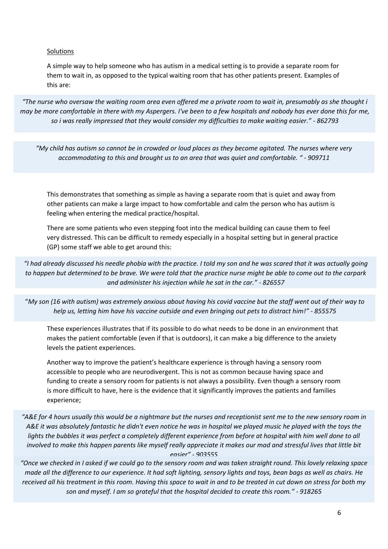#### Solutions

A simple way to help someone who has autism in a medical setting is to provide a separate room for them to wait in, as opposed to the typical waiting room that has other patients present. Examples of this are:

*"The nurse who oversaw the waiting room area even offered me a private room to wait in, presumably as she thought i may be more comfortable in there with my Aspergers. I've been to a few hospitals and nobody has ever done this for me, so i was really impressed that they would consider my difficulties to make waiting easier." - 862793*

*"My child has autism so cannot be in crowded or loud places as they become agitated. The nurses where very accommodating to this and brought us to an area that was quiet and comfortable. " - 909711*

This demonstrates that something as simple as having a separate room that is quiet and away from other patients can make a large impact to how comfortable and calm the person who has autism is feeling when entering the medical practice/hospital.

There are some patients who even stepping foot into the medical building can cause them to feel very distressed. This can be difficult to remedy especially in a hospital setting but in general practice (GP) some staff we able to get around this:

*"I had already discussed his needle phobia with the practice. I told my son and he was scared that it was actually going to happen but determined to be brave. We were told that the practice nurse might be able to come out to the carpark and administer his injection while he sat in the car." - 826557*

"*My son (16 with autism) was extremely anxious about having his covid vaccine but the staff went out of their way to help us, letting him have his vaccine outside and even bringing out pets to distract him!" - 855575*

These experiences illustrates that if its possible to do what needs to be done in an environment that makes the patient comfortable (even if that is outdoors), it can make a big difference to the anxiety levels the patient experiences.

Another way to improve the patient's healthcare experience is through having a sensory room accessible to people who are neurodivergent. This is not as common because having space and funding to create a sensory room for patients is not always a possibility. Even though a sensory room is more difficult to have, here is the evidence that it significantly improves the patients and families experience;

*"A&E for 4 hours usually this would be a nightmare but the nurses and receptionist sent me to the new sensory room in*  A&E it was absolutely fantastic he didn't even notice he was in hospital we played music he played with the toys the lights the bubbles it was perfect a completely different experience from before at hospital with him well done to all *involved to make this happen parents like myself really appreciate it makes our mad and stressful lives that little bit easier" - 903555*

*"Once we checked in I asked if we could go to the sensory room and was taken straight round. This lovely relaxing space made all the difference to our experience. It had soft lighting, sensory lights and toys, bean bags as well as chairs. He received all his treatment in this room. Having this space to wait in and to be treated in cut down on stress for both my son and myself. I am so grateful that the hospital decided to create this room." - 918265*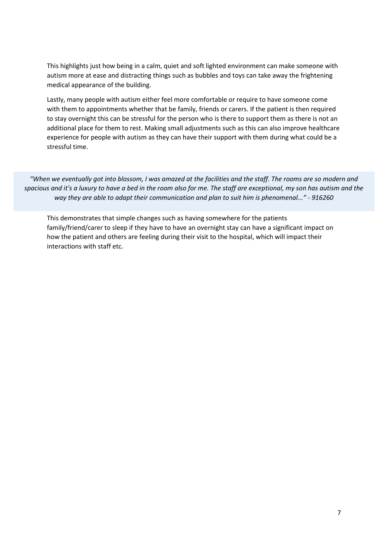This highlights just how being in a calm, quiet and soft lighted environment can make someone with autism more at ease and distracting things such as bubbles and toys can take away the frightening medical appearance of the building.

Lastly, many people with autism either feel more comfortable or require to have someone come with them to appointments whether that be family, friends or carers. If the patient is then required to stay overnight this can be stressful for the person who is there to support them as there is not an additional place for them to rest. Making small adjustments such as this can also improve healthcare experience for people with autism as they can have their support with them during what could be a stressful time.

*"When we eventually got into blossom, I was amazed at the facilities and the staff. The rooms are so modern and spacious and it's a luxury to have a bed in the room also for me. The staff are exceptional, my son has autism and the way they are able to adapt their communication and plan to suit him is phenomenal..." - 916260*

This demonstrates that simple changes such as having somewhere for the patients family/friend/carer to sleep if they have to have an overnight stay can have a significant impact on how the patient and others are feeling during their visit to the hospital, which will impact their interactions with staff etc.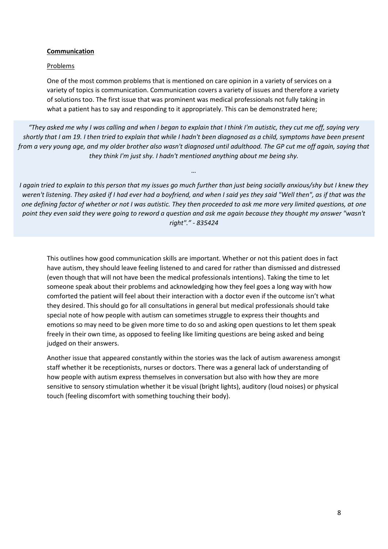#### **Communication**

#### Problems

One of the most common problems that is mentioned on care opinion in a variety of services on a variety of topics is communication. Communication covers a variety of issues and therefore a variety of solutions too. The first issue that was prominent was medical professionals not fully taking in what a patient has to say and responding to it appropriately. This can be demonstrated here;

*"They asked me why I was calling and when I began to explain that I think I'm autistic, they cut me off, saying very shortly that I am 19. I then tried to explain that while I hadn't been diagnosed as a child, symptoms have been present from a very young age, and my older brother also wasn't diagnosed until adulthood. The GP cut me off again, saying that they think I'm just shy. I hadn't mentioned anything about me being shy.*

*…*

*I again tried to explain to this person that my issues go much further than just being socially anxious/shy but I knew they weren't listening. They asked if I had ever had a boyfriend, and when I said yes they said "Well then", as if that was the one defining factor of whether or not I was autistic. They then proceeded to ask me more very limited questions, at one point they even said they were going to reword a question and ask me again because they thought my answer "wasn't right"." - 835424*

This outlines how good communication skills are important. Whether or not this patient does in fact have autism, they should leave feeling listened to and cared for rather than dismissed and distressed (even though that will not have been the medical professionals intentions). Taking the time to let someone speak about their problems and acknowledging how they feel goes a long way with how comforted the patient will feel about their interaction with a doctor even if the outcome isn't what they desired. This should go for all consultations in general but medical professionals should take special note of how people with autism can sometimes struggle to express their thoughts and emotions so may need to be given more time to do so and asking open questions to let them speak freely in their own time, as opposed to feeling like limiting questions are being asked and being judged on their answers.

Another issue that appeared constantly within the stories was the lack of autism awareness amongst staff whether it be receptionists, nurses or doctors. There was a general lack of understanding of how people with autism express themselves in conversation but also with how they are more sensitive to sensory stimulation whether it be visual (bright lights), auditory (loud noises) or physical touch (feeling discomfort with something touching their body).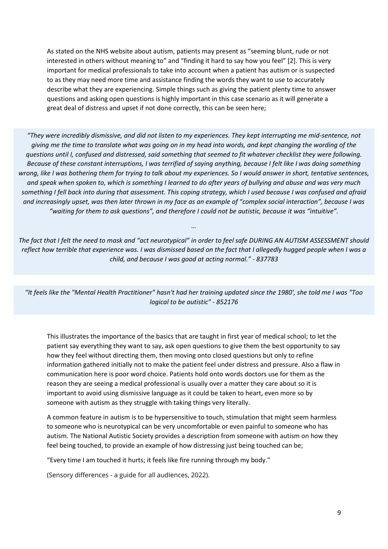As stated on the NHS website about autism, patients may present as "seeming blunt, rude or not interested in others without meaning to" and "finding it hard to say how you feel" [2]. This is very important for medical professionals to take into account when a patient has autism or is suspected to as they may need more time and assistance finding the words they want to use to accurately describe what they are experiencing. Simple things such as giving the patient plenty time to answer questions and asking open questions is highly important in this case scenario as it will generate a great deal of distress and upset if not done correctly, this can be seen here;

*"They were incredibly dismissive, and did not listen to my experiences. They kept interrupting me mid-sentence, not giving me the time to translate what was going on in my head into words, and kept changing the wording of the questions until I, confused and distressed, said something that seemed to fit whatever checklist they were following. Because of these constant interruptions, I was terrified of saying anything, because I felt like I was doing something wrong, like I was bothering them for trying to talk about my experiences. So I would answer in short, tentative sentences, and speak when spoken to, which is something I learned to do after years of bullying and abuse and was very much something I fell back into during that assessment. This coping strategy, which I used because I was confused and afraid and increasingly upset, was then later thrown in my face as an example of "complex social interaction", because I was "waiting for them to ask questions", and therefore I could not be autistic, because it was "intuitive".*

*The fact that I felt the need to mask and "act neurotypical" in order to feel safe DURING AN AUTISM ASSESSMENT should reflect how terrible that experience was. I was dismissed based on the fact that I allegedly hugged people when I was a child, and because I was good at acting normal." - 837783*

*…*

*"It feels like the "Mental Health Practitioner" hasn't had her training updated since the 1980', she told me I was "Too logical to be autistic" - 852176*

This illustrates the importance of the basics that are taught in first year of medical school; to let the patient say everything they want to say, ask open questions to give them the best opportunity to say how they feel without directing them, then moving onto closed questions but only to refine information gathered initially not to make the patient feel under distress and pressure. Also a flaw in communication here is poor word choice. Patients hold onto words doctors use for them as the reason they are seeing a medical professional is usually over a matter they care about so it is important to avoid using dismissive language as it could be taken to heart, even more so by someone with autism as they struggle with taking things very literally.

A common feature in autism is to be hypersensitive to touch, stimulation that might seem harmless to someone who is neurotypical can be very uncomfortable or even painful to someone who has autism. The National Autistic Society provides a description from someone with autism on how they feel being touched, to provide an example of how distressing just being touched can be;

"Every time I am touched it hurts; it feels like fire running through my body."

(Sensory differences - a guide for all audiences, 2022).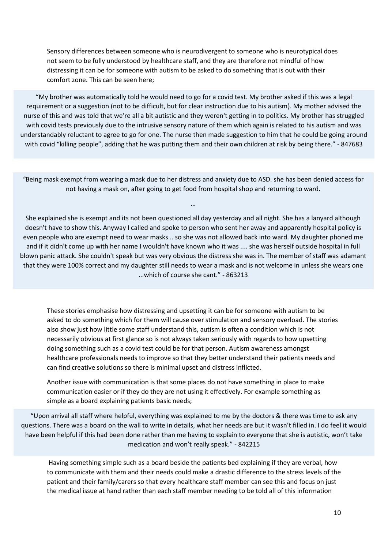Sensory differences between someone who is neurodivergent to someone who is neurotypical does not seem to be fully understood by healthcare staff, and they are therefore not mindful of how distressing it can be for someone with autism to be asked to do something that is out with their comfort zone. This can be seen here;

"My brother was automatically told he would need to go for a covid test. My brother asked if this was a legal requirement or a suggestion (not to be difficult, but for clear instruction due to his autism). My mother advised the nurse of this and was told that we're all a bit autistic and they weren't getting in to politics. My brother has struggled with covid tests previously due to the intrusive sensory nature of them which again is related to his autism and was understandably reluctant to agree to go for one. The nurse then made suggestion to him that he could be going around with covid "killing people", adding that he was putting them and their own children at risk by being there." - 847683

*"*Being mask exempt from wearing a mask due to her distress and anxiety due to ASD. she has been denied access for not having a mask on, after going to get food from hospital shop and returning to ward.

…

She explained she is exempt and its not been questioned all day yesterday and all night. She has a lanyard although doesn't have to show this. Anyway I called and spoke to person who sent her away and apparently hospital policy is even people who are exempt need to wear masks .. so she was not allowed back into ward. My daughter phoned me and if it didn't come up with her name I wouldn't have known who it was .... she was herself outside hospital in full blown panic attack. She couldn't speak but was very obvious the distress she was in. The member of staff was adamant that they were 100% correct and my daughter still needs to wear a mask and is not welcome in unless she wears one ...which of course she cant." - 863213

These stories emphasise how distressing and upsetting it can be for someone with autism to be asked to do something which for them will cause over stimulation and sensory overload. The stories also show just how little some staff understand this, autism is often a condition which is not necessarily obvious at first glance so is not always taken seriously with regards to how upsetting doing something such as a covid test could be for that person. Autism awareness amongst healthcare professionals needs to improve so that they better understand their patients needs and can find creative solutions so there is minimal upset and distress inflicted.

Another issue with communication is that some places do not have something in place to make communication easier or if they do they are not using it effectively. For example something as simple as a board explaining patients basic needs;

"Upon arrival all staff where helpful, everything was explained to me by the doctors & there was time to ask any questions. There was a board on the wall to write in details, what her needs are but it wasn't filled in. I do feel it would have been helpful if this had been done rather than me having to explain to everyone that she is autistic, won't take medication and won't really speak." - 842215

Having something simple such as a board beside the patients bed explaining if they are verbal, how to communicate with them and their needs could make a drastic difference to the stress levels of the patient and their family/carers so that every healthcare staff member can see this and focus on just the medical issue at hand rather than each staff member needing to be told all of this information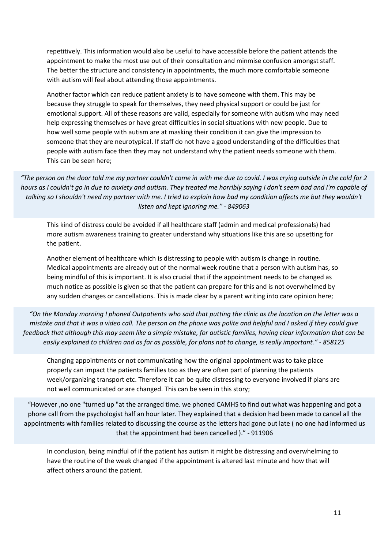repetitively. This information would also be useful to have accessible before the patient attends the appointment to make the most use out of their consultation and minmise confusion amongst staff. The better the structure and consistency in appointments, the much more comfortable someone with autism will feel about attending those appointments.

Another factor which can reduce patient anxiety is to have someone with them. This may be because they struggle to speak for themselves, they need physical support or could be just for emotional support. All of these reasons are valid, especially for someone with autism who may need help expressing themselves or have great difficulties in social situations with new people. Due to how well some people with autism are at masking their condition it can give the impression to someone that they are neurotypical. If staff do not have a good understanding of the difficulties that people with autism face then they may not understand why the patient needs someone with them. This can be seen here;

*"The person on the door told me my partner couldn't come in with me due to covid. I was crying outside in the cold for 2 hours as I couldn't go in due to anxiety and autism. They treated me horribly saying I don't seem bad and I'm capable of*  talking so I shouldn't need my partner with me. I tried to explain how bad my condition affects me but they wouldn't *listen and kept ignoring me." - 849063*

This kind of distress could be avoided if all healthcare staff (admin and medical professionals) had more autism awareness training to greater understand why situations like this are so upsetting for the patient.

Another element of healthcare which is distressing to people with autism is change in routine. Medical appointments are already out of the normal week routine that a person with autism has, so being mindful of this is important. It is also crucial that if the appointment needs to be changed as much notice as possible is given so that the patient can prepare for this and is not overwhelmed by any sudden changes or cancellations. This is made clear by a parent writing into care opinion here;

*"On the Monday morning I phoned Outpatients who said that putting the clinic as the location on the letter was a mistake and that it was a video call. The person on the phone was polite and helpful and I asked if they could give feedback that although this may seem like a simple mistake, for autistic families, having clear information that can be easily explained to children and as far as possible, for plans not to change, is really important." - 858125*

Changing appointments or not communicating how the original appointment was to take place properly can impact the patients families too as they are often part of planning the patients week/organizing transport etc. Therefore it can be quite distressing to everyone involved if plans are not well communicated or are changed. This can be seen in this story;

"However ,no one "turned up "at the arranged time. we phoned CAMHS to find out what was happening and got a phone call from the psychologist half an hour later. They explained that a decision had been made to cancel all the appointments with families related to discussing the course as the letters had gone out late ( no one had informed us that the appointment had been cancelled )." - 911906

In conclusion, being mindful of if the patient has autism it might be distressing and overwhelming to have the routine of the week changed if the appointment is altered last minute and how that will affect others around the patient. The house not to have the house and we had arranged to have the house and we h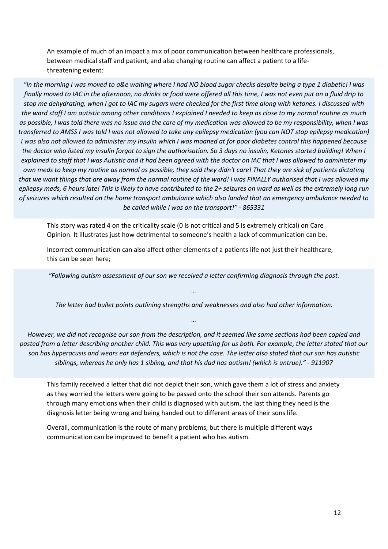An example of much of an impact a mix of poor communication between healthcare professionals, between medical staff and patient, and also changing routine can affect a patient to a lifethreatening extent:

*"In the morning I was moved to a&e waiting where I had NO blood sugar checks despite being a type 1 diabetic! I was finally moved to IAC in the afternoon, no drinks or food were offered all this time, I was not even put on a fluid drip to stop me dehydrating, when I got to IAC my sugars were checked for the first time along with ketones. I discussed with the ward staff I am autistic among other conditions I explained I needed to keep as close to my normal routine as much as possible, I was told there was no issue and the care of my medication was allowed to be my responsibility, when I was transferred to AMSS I was told I was not allowed to take any epilepsy medication (you can NOT stop epilepsy medication) I was also not allowed to administer my Insulin which I was moaned at for poor diabetes control this happened because the doctor who listed my insulin forgot to sign the authorisation. So 3 days no insulin, Ketones started building! When I explained to staff that I was Autistic and it had been agreed with the doctor on IAC that I was allowed to administer my own meds to keep my routine as normal as possible, they said they didn't care! That they are sick of patients dictating that we want things that are away from the normal routine of the ward! I was FINALLY authorised that I was allowed my epilepsy meds, 6 hours late! This is likely to have contributed to the 2+ seizures on ward as well as the extremely long run of seizures which resulted on the home transport ambulance which also landed that an emergency ambulance needed to be called while I was on the transport!" - 865331*

This story was rated 4 on the criticality scale (0 is not critical and 5 is extremely critical) on Care Opinion. It illustrates just how detrimental to someone's health a lack of communication can be.

Incorrect communication can also affect other elements of a patients life not just their healthcare, this can be seen here;

*"Following autism assessment of our son we received a letter confirming diagnosis through the post.*

*…*

*The letter had bullet points outlining strengths and weaknesses and also had other information.*

*…*

*However, we did not recognise our son from the description, and it seemed like some sections had been copied and pasted from a letter describing another child. This was very upsetting for us both. For example, the letter stated that our son has hyperacusis and wears ear defenders, which is not the case. The letter also stated that our son has autistic siblings, whereas he only has 1 sibling, and that his dad has autism! (which is untrue)." - 911907*

This family received a letter that did not depict their son, which gave them a lot of stress and anxiety as they worried the letters were going to be passed onto the school their son attends. Parents go through many emotions when their child is diagnosed with autism, the last thing they need is the diagnosis letter being wrong and being handed out to different areas of their sons life.

Overall, communication is the route of many problems, but there is multiple different ways communication can be improved to benefit a patient who has autism.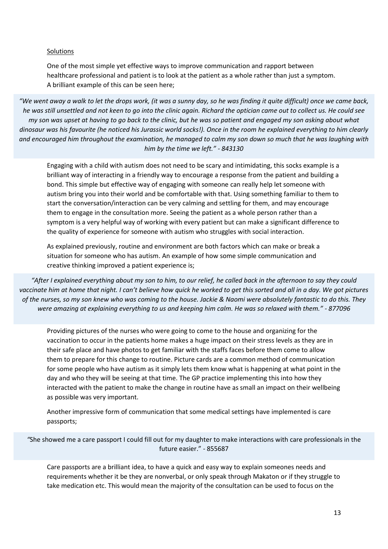#### Solutions

One of the most simple yet effective ways to improve communication and rapport between healthcare professional and patient is to look at the patient as a whole rather than just a symptom. A brilliant example of this can be seen here;

*"We went away a walk to let the drops work, (it was a sunny day, so he was finding it quite difficult) once we came back, he was still unsettled and not keen to go into the clinic again. Richard the optician came out to collect us. He could see my son was upset at having to go back to the clinic, but he was so patient and engaged my son asking about what dinosaur was his favourite (he noticed his Jurassic world socks!). Once in the room he explained everything to him clearly and encouraged him throughout the examination, he managed to calm my son down so much that he was laughing with him by the time we left." - 843130*

Engaging with a child with autism does not need to be scary and intimidating, this socks example is a brilliant way of interacting in a friendly way to encourage a response from the patient and building a bond. This simple but effective way of engaging with someone can really help let someone with autism bring you into their world and be comfortable with that. Using something familiar to them to start the conversation/interaction can be very calming and settling for them, and may encourage them to engage in the consultation more. Seeing the patient as a whole person rather than a symptom is a very helpful way of working with every patient but can make a significant difference to the quality of experience for someone with autism who struggles with social interaction.

As explained previously, routine and environment are both factors which can make or break a situation for someone who has autism. An example of how some simple communication and creative thinking improved a patient experience is;

*"After I explained everything about my son to him, to our relief, he called back in the afternoon to say they could vaccinate him at home that night. I can't believe how quick he worked to get this sorted and all in a day. We got pictures of the nurses, so my son knew who was coming to the house. Jackie & Naomi were absolutely fantastic to do this. They were amazing at explaining everything to us and keeping him calm. He was so relaxed with them." - 877096*

Providing pictures of the nurses who were going to come to the house and organizing for the vaccination to occur in the patients home makes a huge impact on their stress levels as they are in their safe place and have photos to get familiar with the staffs faces before them come to allow them to prepare for this change to routine. Picture cards are a common method of communication for some people who have autism as it simply lets them know what is happening at what point in the day and who they will be seeing at that time. The GP practice implementing this into how they interacted with the patient to make the change in routine have as small an impact on their wellbeing as possible was very important.

Another impressive form of communication that some medical settings have implemented is care passports;

*"*She showed me a care passport I could fill out for my daughter to make interactions with care professionals in the future easier." - 855687

Care passports are a brilliant idea, to have a quick and easy way to explain someones needs and requirements whether it be they are nonverbal, or only speak through Makaton or if they struggle to take medication etc. This would mean the majority of the consultation can be used to focus on the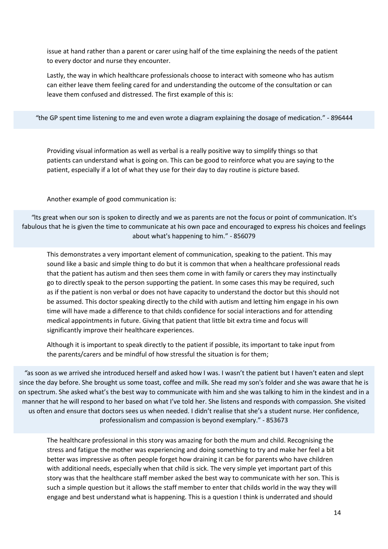issue at hand rather than a parent or carer using half of the time explaining the needs of the patient to every doctor and nurse they encounter.

Lastly, the way in which healthcare professionals choose to interact with someone who has autism can either leave them feeling cared for and understanding the outcome of the consultation or can leave them confused and distressed. The first example of this is:

*"*the GP spent time listening to me and even wrote a diagram explaining the dosage of medication." - 896444

Providing visual information as well as verbal is a really positive way to simplify things so that patients can understand what is going on. This can be good to reinforce what you are saying to the patient, especially if a lot of what they use for their day to day routine is picture based.

Another example of good communication is:

*"*Its great when our son is spoken to directly and we as parents are not the focus or point of communication. It's fabulous that he is given the time to communicate at his own pace and encouraged to express his choices and feelings about what's happening to him." - 856079

This demonstrates a very important element of communication, speaking to the patient. This may sound like a basic and simple thing to do but it is common that when a healthcare professional reads that the patient has autism and then sees them come in with family or carers they may instinctually go to directly speak to the person supporting the patient. In some cases this may be required, such as if the patient is non verbal or does not have capacity to understand the doctor but this should not be assumed. This doctor speaking directly to the child with autism and letting him engage in his own time will have made a difference to that childs confidence for social interactions and for attending medical appointments in future. Giving that patient that little bit extra time and focus will significantly improve their healthcare experiences.

Although it is important to speak directly to the patient if possible, its important to take input from the parents/carers and be mindful of how stressful the situation is for them;

*"*as soon as we arrived she introduced herself and asked how I was. I wasn't the patient but I haven't eaten and slept since the day before. She brought us some toast, coffee and milk. She read my son's folder and she was aware that he is on spectrum. She asked what's the best way to communicate with him and she was talking to him in the kindest and in a manner that he will respond to her based on what I've told her. She listens and responds with compassion. She visited us often and ensure that doctors sees us when needed. I didn't realise that she's a student nurse. Her confidence, professionalism and compassion is beyond exemplary." - 853673

The healthcare professional in this story was amazing for both the mum and child. Recognising the stress and fatigue the mother was experiencing and doing something to try and make her feel a bit better was impressive as often people forget how draining it can be for parents who have children with additional needs, especially when that child is sick. The very simple yet important part of this story was that the healthcare staff member asked the best way to communicate with her son. This is such a simple question but it allows the staff member to enter that childs world in the way they will engage and best understand what is happening. This is a question I think is underrated and should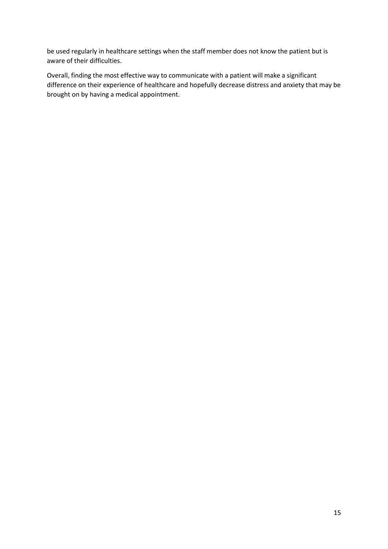be used regularly in healthcare settings when the staff member does not know the patient but is aware of their difficulties.

Overall, finding the most effective way to communicate with a patient will make a significant difference on their experience of healthcare and hopefully decrease distress and anxiety that may be brought on by having a medical appointment.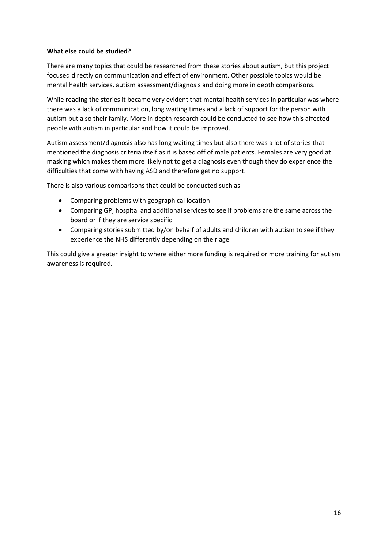# **What else could be studied?**

There are many topics that could be researched from these stories about autism, but this project focused directly on communication and effect of environment. Other possible topics would be mental health services, autism assessment/diagnosis and doing more in depth comparisons.

While reading the stories it became very evident that mental health services in particular was where there was a lack of communication, long waiting times and a lack of support for the person with autism but also their family. More in depth research could be conducted to see how this affected people with autism in particular and how it could be improved.

Autism assessment/diagnosis also has long waiting times but also there was a lot of stories that mentioned the diagnosis criteria itself as it is based off of male patients. Females are very good at masking which makes them more likely not to get a diagnosis even though they do experience the difficulties that come with having ASD and therefore get no support.

There is also various comparisons that could be conducted such as

- Comparing problems with geographical location
- Comparing GP, hospital and additional services to see if problems are the same across the board or if they are service specific
- Comparing stories submitted by/on behalf of adults and children with autism to see if they experience the NHS differently depending on their age

This could give a greater insight to where either more funding is required or more training for autism awareness is required.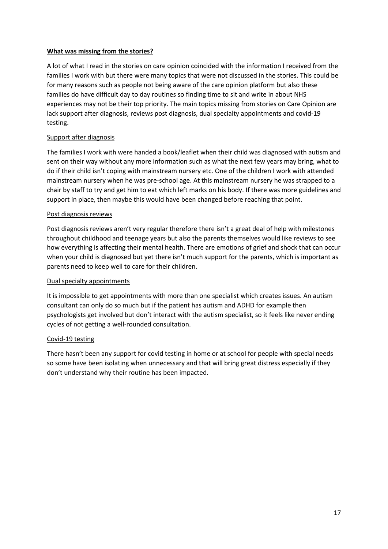# **What was missing from the stories?**

A lot of what I read in the stories on care opinion coincided with the information I received from the families I work with but there were many topics that were not discussed in the stories. This could be for many reasons such as people not being aware of the care opinion platform but also these families do have difficult day to day routines so finding time to sit and write in about NHS experiences may not be their top priority. The main topics missing from stories on Care Opinion are lack support after diagnosis, reviews post diagnosis, dual specialty appointments and covid-19 testing.

# Support after diagnosis

The families I work with were handed a book/leaflet when their child was diagnosed with autism and sent on their way without any more information such as what the next few years may bring, what to do if their child isn't coping with mainstream nursery etc. One of the children I work with attended mainstream nursery when he was pre-school age. At this mainstream nursery he was strapped to a chair by staff to try and get him to eat which left marks on his body. If there was more guidelines and support in place, then maybe this would have been changed before reaching that point.

# Post diagnosis reviews

Post diagnosis reviews aren't very regular therefore there isn't a great deal of help with milestones throughout childhood and teenage years but also the parents themselves would like reviews to see how everything is affecting their mental health. There are emotions of grief and shock that can occur when your child is diagnosed but yet there isn't much support for the parents, which is important as parents need to keep well to care for their children.

# Dual specialty appointments

It is impossible to get appointments with more than one specialist which creates issues. An autism consultant can only do so much but if the patient has autism and ADHD for example then psychologists get involved but don't interact with the autism specialist, so it feels like never ending cycles of not getting a well-rounded consultation.

# Covid-19 testing

There hasn't been any support for covid testing in home or at school for people with special needs so some have been isolating when unnecessary and that will bring great distress especially if they don't understand why their routine has been impacted.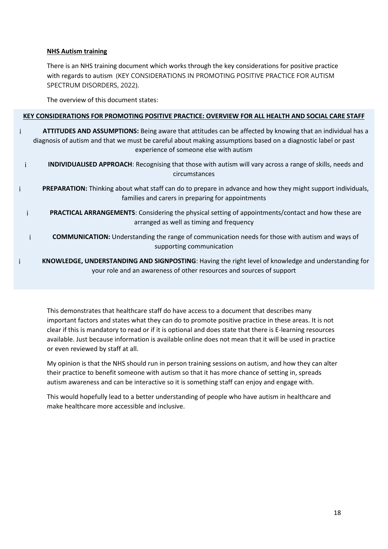#### **NHS Autism training**

There is an NHS training document which works through the key considerations for positive practice with regards to autism (KEY CONSIDERATIONS IN PROMOTING POSITIVE PRACTICE FOR AUTISM SPECTRUM DISORDERS, 2022).

The overview of this document states:

#### **KEY CONSIDERATIONS FOR PROMOTING POSITIVE PRACTICE: OVERVIEW FOR ALL HEALTH AND SOCIAL CARE STAFF**

- ¡ **ATTITUDES AND ASSUMPTIONS:** Being aware that attitudes can be affected by knowing that an individual has a diagnosis of autism and that we must be careful about making assumptions based on a diagnostic label or past experience of someone else with autism
	- ¡ **INDIVIDUALISED APPROACH**: Recognising that those with autism will vary across a range of skills, needs and circumstances
- ¡ **PREPARATION:** Thinking about what staff can do to prepare in advance and how they might support individuals, families and carers in preparing for appointments
- ¡ **PRACTICAL ARRANGEMENTS**: Considering the physical setting of appointments/contact and how these are arranged as well as timing and frequency
- ¡ **COMMUNICATION:** Understanding the range of communication needs for those with autism and ways of supporting communication
- ¡ **KNOWLEDGE, UNDERSTANDING AND SIGNPOSTING**: Having the right level of knowledge and understanding for your role and an awareness of other resources and sources of support

This demonstrates that healthcare staff do have access to a document that describes many important factors and states what they can do to promote positive practice in these areas. It is not clear if this is mandatory to read or if it is optional and does state that there is E-learning resources available. Just because information is available online does not mean that it will be used in practice or even reviewed by staff at all.

My opinion is that the NHS should run in person training sessions on autism, and how they can alter their practice to benefit someone with autism so that it has more chance of setting in, spreads autism awareness and can be interactive so it is something staff can enjoy and engage with.

This would hopefully lead to a better understanding of people who have autism in healthcare and make healthcare more accessible and inclusive.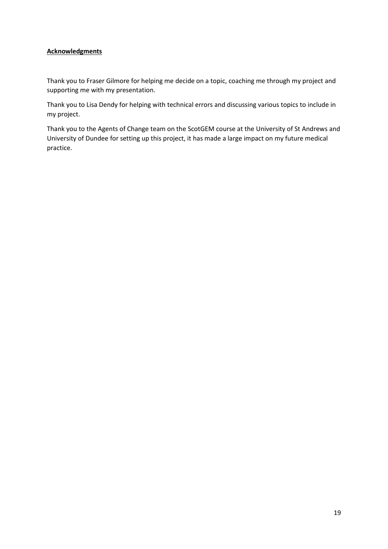# **Acknowledgments**

Thank you to Fraser Gilmore for helping me decide on a topic, coaching me through my project and supporting me with my presentation.

Thank you to Lisa Dendy for helping with technical errors and discussing various topics to include in my project.

Thank you to the Agents of Change team on the ScotGEM course at the University of St Andrews and University of Dundee for setting up this project, it has made a large impact on my future medical practice.